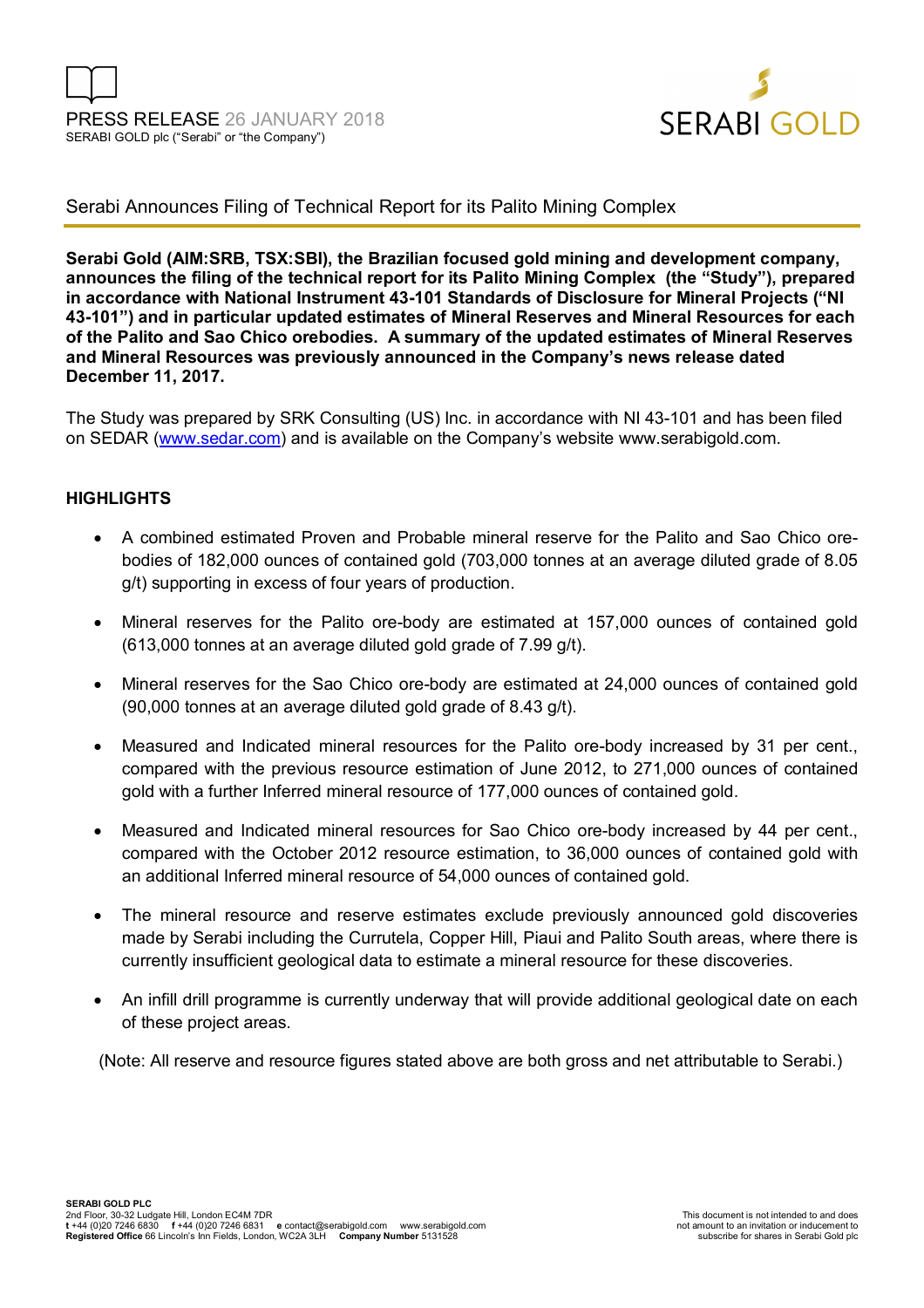



# Serabi Announces Filing of Technical Report for its Palito Mining Complex

**Serabi Gold (AIM:SRB, TSX:SBI), the Brazilian focused gold mining and development company, announces the filing of the technical report for its Palito Mining Complex (the "Study"), prepared in accordance with National Instrument 43-101 Standards of Disclosure for Mineral Projects ("NI 43-101") and in particular updated estimates of Mineral Reserves and Mineral Resources for each of the Palito and Sao Chico orebodies. A summary of the updated estimates of Mineral Reserves and Mineral Resources was previously announced in the Company's news release dated December 11, 2017.** 

The Study was prepared by SRK Consulting (US) Inc. in accordance with NI 43-101 and has been filed on SEDAR (www.sedar.com) and is available on the Company's website www.serabigold.com.

## **HIGHLIGHTS**

- A combined estimated Proven and Probable mineral reserve for the Palito and Sao Chico orebodies of 182,000 ounces of contained gold (703,000 tonnes at an average diluted grade of 8.05 g/t) supporting in excess of four years of production.
- Mineral reserves for the Palito ore-body are estimated at 157,000 ounces of contained gold (613,000 tonnes at an average diluted gold grade of 7.99 g/t).
- Mineral reserves for the Sao Chico ore-body are estimated at 24,000 ounces of contained gold (90,000 tonnes at an average diluted gold grade of 8.43 g/t).
- Measured and Indicated mineral resources for the Palito ore-body increased by 31 per cent., compared with the previous resource estimation of June 2012, to 271,000 ounces of contained gold with a further Inferred mineral resource of 177,000 ounces of contained gold.
- Measured and Indicated mineral resources for Sao Chico ore-body increased by 44 per cent., compared with the October 2012 resource estimation, to 36,000 ounces of contained gold with an additional Inferred mineral resource of 54,000 ounces of contained gold.
- The mineral resource and reserve estimates exclude previously announced gold discoveries made by Serabi including the Currutela, Copper Hill, Piaui and Palito South areas, where there is currently insufficient geological data to estimate a mineral resource for these discoveries.
- An infill drill programme is currently underway that will provide additional geological date on each of these project areas.

(Note: All reserve and resource figures stated above are both gross and net attributable to Serabi.)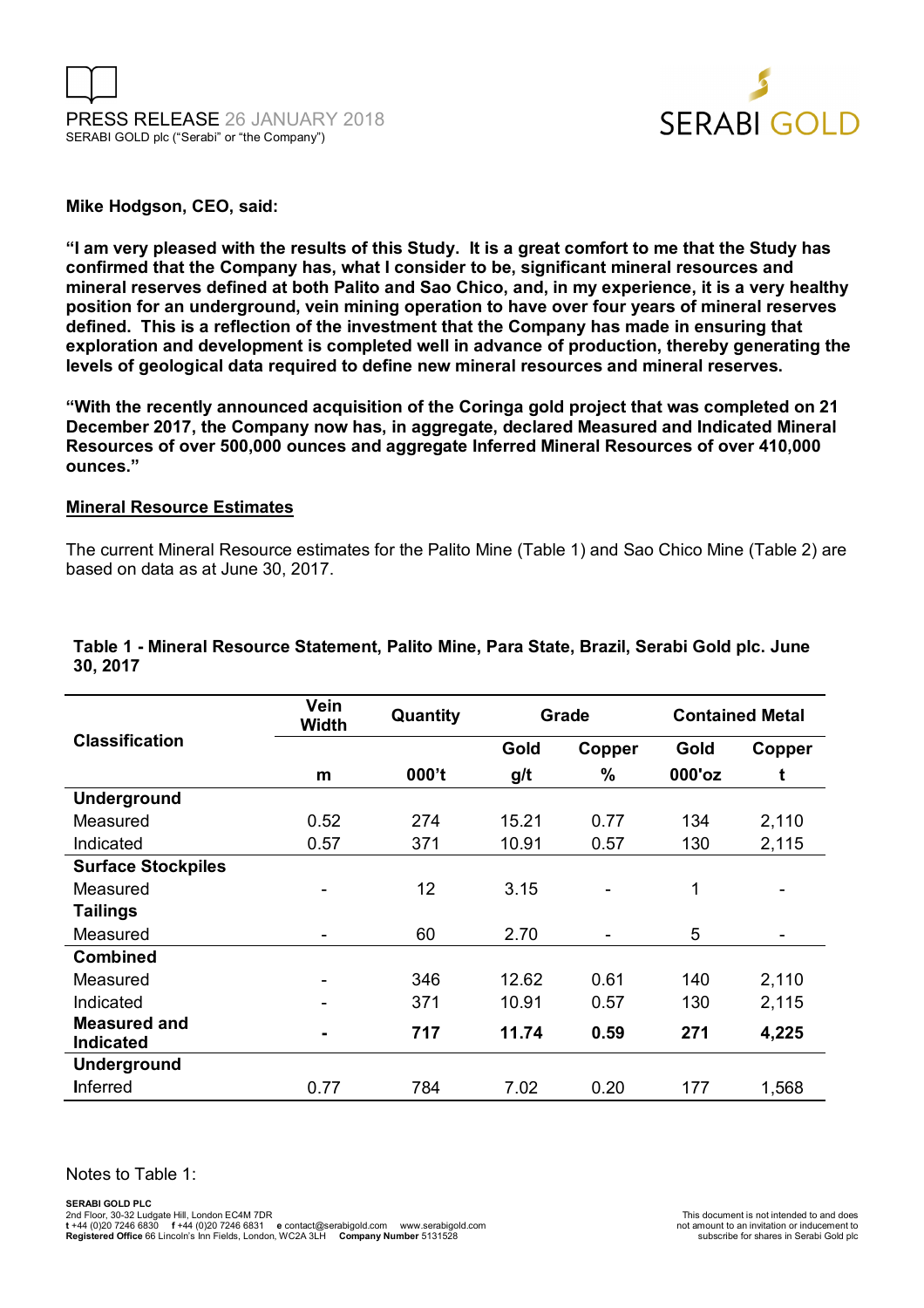



#### **Mike Hodgson, CEO, said:**

**"I am very pleased with the results of this Study. It is a great comfort to me that the Study has confirmed that the Company has, what I consider to be, significant mineral resources and mineral reserves defined at both Palito and Sao Chico, and, in my experience, it is a very healthy position for an underground, vein mining operation to have over four years of mineral reserves defined. This is a reflection of the investment that the Company has made in ensuring that exploration and development is completed well in advance of production, thereby generating the levels of geological data required to define new mineral resources and mineral reserves.** 

**"With the recently announced acquisition of the Coringa gold project that was completed on 21 December 2017, the Company now has, in aggregate, declared Measured and Indicated Mineral Resources of over 500,000 ounces and aggregate Inferred Mineral Resources of over 410,000 ounces."** 

#### **Mineral Resource Estimates**

The current Mineral Resource estimates for the Palito Mine (Table 1) and Sao Chico Mine (Table 2) are based on data as at June 30, 2017.

| <b>Classification</b>                   | <b>Vein</b><br><b>Width</b> | Quantity | Grade |        | <b>Contained Metal</b> |        |
|-----------------------------------------|-----------------------------|----------|-------|--------|------------------------|--------|
|                                         |                             |          | Gold  | Copper | Gold                   | Copper |
|                                         | m                           | 000't    | g/t   | %      | 000'oz                 | t      |
| <b>Underground</b>                      |                             |          |       |        |                        |        |
| Measured                                | 0.52                        | 274      | 15.21 | 0.77   | 134                    | 2,110  |
| Indicated                               | 0.57                        | 371      | 10.91 | 0.57   | 130                    | 2,115  |
| <b>Surface Stockpiles</b>               |                             |          |       |        |                        |        |
| Measured                                |                             | 12       | 3.15  |        | 1                      |        |
| <b>Tailings</b>                         |                             |          |       |        |                        |        |
| Measured                                |                             | 60       | 2.70  |        | 5                      |        |
| <b>Combined</b>                         |                             |          |       |        |                        |        |
| Measured                                |                             | 346      | 12.62 | 0.61   | 140                    | 2,110  |
| Indicated                               |                             | 371      | 10.91 | 0.57   | 130                    | 2,115  |
| <b>Measured and</b><br><b>Indicated</b> |                             | 717      | 11.74 | 0.59   | 271                    | 4,225  |
| <b>Underground</b>                      |                             |          |       |        |                        |        |
| <b>Inferred</b>                         | 0.77                        | 784      | 7.02  | 0.20   | 177                    | 1,568  |

#### **Table 1 - Mineral Resource Statement, Palito Mine, Para State, Brazil, Serabi Gold plc. June 30, 2017**

#### Notes to Table 1: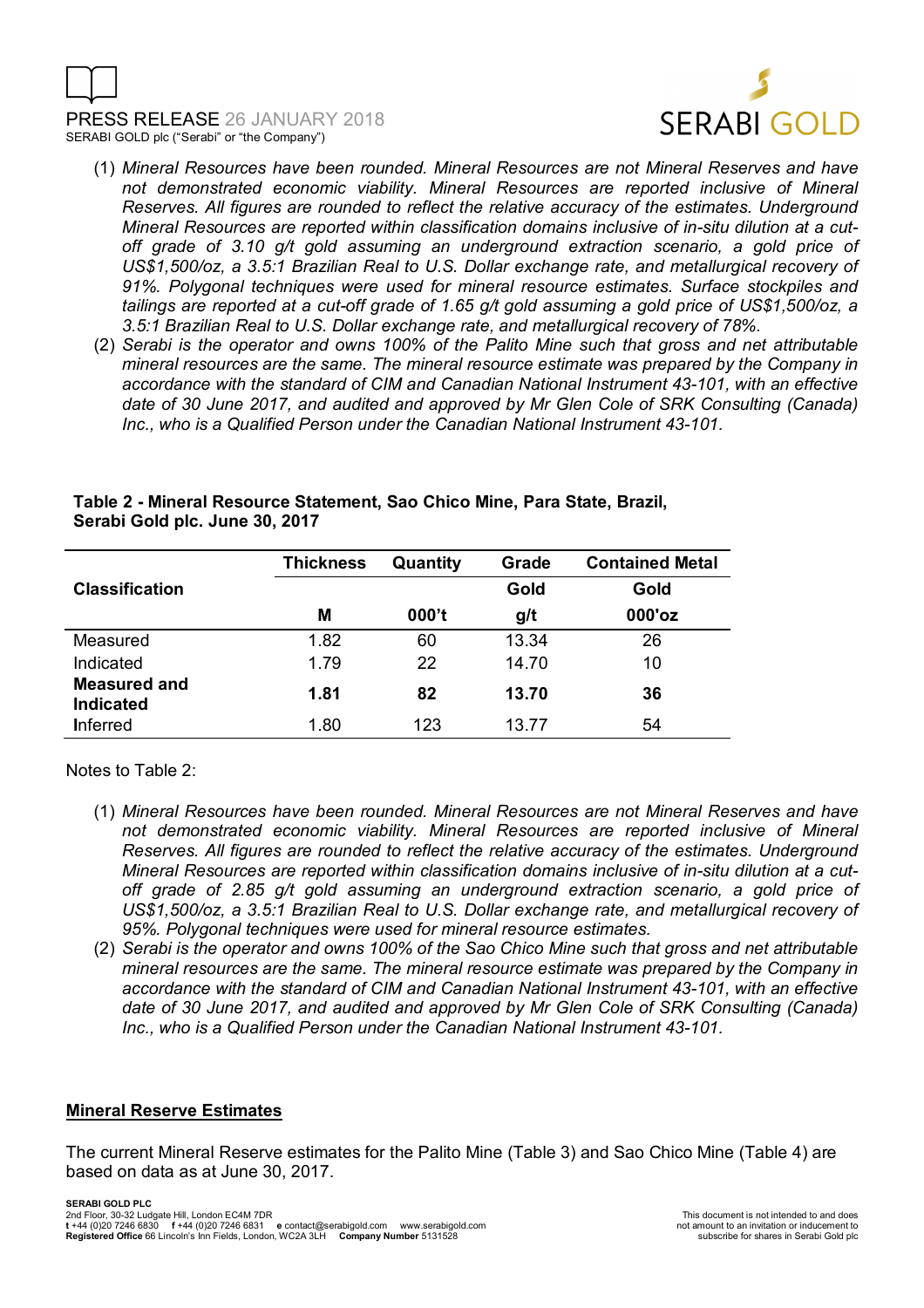



- (1) *Mineral Resources have been rounded. Mineral Resources are not Mineral Reserves and have not demonstrated economic viability. Mineral Resources are reported inclusive of Mineral Reserves. All figures are rounded to reflect the relative accuracy of the estimates. Underground Mineral Resources are reported within classification domains inclusive of in-situ dilution at a cutoff grade of 3.10 g/t gold assuming an underground extraction scenario, a gold price of US\$1,500/oz, a 3.5:1 Brazilian Real to U.S. Dollar exchange rate, and metallurgical recovery of 91%. Polygonal techniques were used for mineral resource estimates. Surface stockpiles and tailings are reported at a cut-off grade of 1.65 g/t gold assuming a gold price of US\$1,500/oz, a 3.5:1 Brazilian Real to U.S. Dollar exchange rate, and metallurgical recovery of 78%.*
- (2) *Serabi is the operator and owns 100% of the Palito Mine such that gross and net attributable mineral resources are the same. The mineral resource estimate was prepared by the Company in accordance with the standard of CIM and Canadian National Instrument 43-101, with an effective date of 30 June 2017, and audited and approved by Mr Glen Cole of SRK Consulting (Canada) Inc., who is a Qualified Person under the Canadian National Instrument 43-101.*

|                                         | <b>Thickness</b> | Quantity | Grade | <b>Contained Metal</b> |
|-----------------------------------------|------------------|----------|-------|------------------------|
| <b>Classification</b>                   |                  |          | Gold  | Gold                   |
|                                         | M                | 000't    | g/t   | 000'oz                 |
| Measured                                | 1.82             | 60       | 13.34 | 26                     |
| Indicated                               | 1.79             | 22       | 14.70 | 10                     |
| <b>Measured and</b><br><b>Indicated</b> | 1.81             | 82       | 13.70 | 36                     |
| <b>Inferred</b>                         | 1.80             | 123      | 13.77 | 54                     |

## **Table 2 - Mineral Resource Statement, Sao Chico Mine, Para State, Brazil, Serabi Gold plc. June 30, 2017**

Notes to Table 2:

- (1) *Mineral Resources have been rounded. Mineral Resources are not Mineral Reserves and have not demonstrated economic viability. Mineral Resources are reported inclusive of Mineral Reserves. All figures are rounded to reflect the relative accuracy of the estimates. Underground Mineral Resources are reported within classification domains inclusive of in-situ dilution at a cutoff grade of 2.85 g/t gold assuming an underground extraction scenario, a gold price of US\$1,500/oz, a 3.5:1 Brazilian Real to U.S. Dollar exchange rate, and metallurgical recovery of 95%. Polygonal techniques were used for mineral resource estimates.*
- (2) *Serabi is the operator and owns 100% of the Sao Chico Mine such that gross and net attributable mineral resources are the same. The mineral resource estimate was prepared by the Company in accordance with the standard of CIM and Canadian National Instrument 43-101, with an effective date of 30 June 2017, and audited and approved by Mr Glen Cole of SRK Consulting (Canada) Inc., who is a Qualified Person under the Canadian National Instrument 43-101.*

# **Mineral Reserve Estimates**

The current Mineral Reserve estimates for the Palito Mine (Table 3) and Sao Chico Mine (Table 4) are based on data as at June 30, 2017.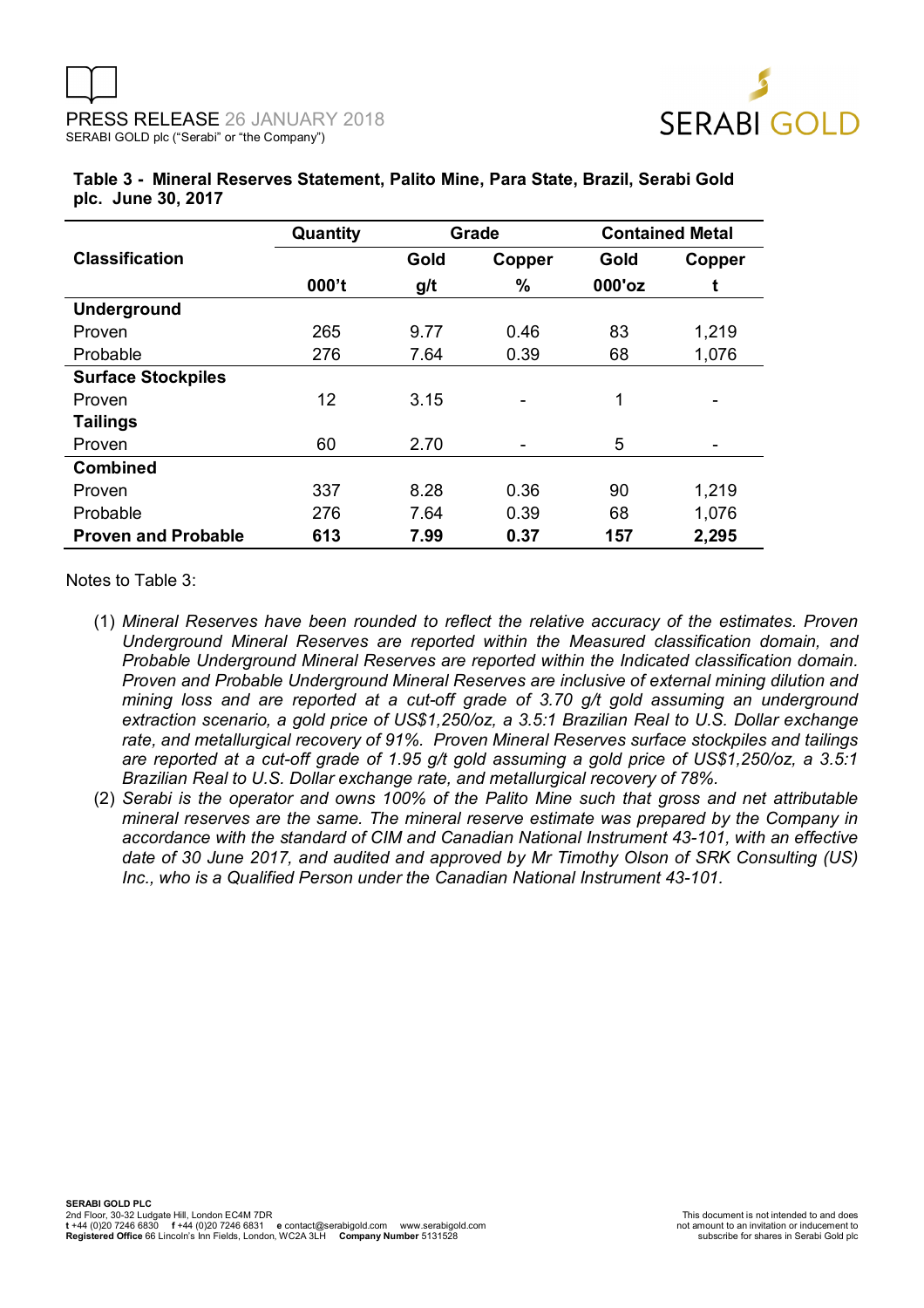

|                            | Quantity | Grade |        | <b>Contained Metal</b> |        |
|----------------------------|----------|-------|--------|------------------------|--------|
| <b>Classification</b>      |          | Gold  | Copper | Gold                   | Copper |
|                            | 000't    | g/t   | $\%$   | 000'oz                 | t      |
| <b>Underground</b>         |          |       |        |                        |        |
| Proven                     | 265      | 9.77  | 0.46   | 83                     | 1,219  |
| Probable                   | 276      | 7.64  | 0.39   | 68                     | 1,076  |
| <b>Surface Stockpiles</b>  |          |       |        |                        |        |
| Proven                     | 12       | 3.15  |        | 1                      |        |
| <b>Tailings</b>            |          |       |        |                        |        |
| Proven                     | 60       | 2.70  |        | 5                      |        |
| <b>Combined</b>            |          |       |        |                        |        |
| Proven                     | 337      | 8.28  | 0.36   | 90                     | 1,219  |
| Probable                   | 276      | 7.64  | 0.39   | 68                     | 1,076  |
| <b>Proven and Probable</b> | 613      | 7.99  | 0.37   | 157                    | 2,295  |

# **Table 3 - Mineral Reserves Statement, Palito Mine, Para State, Brazil, Serabi Gold plc. June 30, 2017**

Notes to Table 3:

- (1) *Mineral Reserves have been rounded to reflect the relative accuracy of the estimates. Proven Underground Mineral Reserves are reported within the Measured classification domain, and Probable Underground Mineral Reserves are reported within the Indicated classification domain. Proven and Probable Underground Mineral Reserves are inclusive of external mining dilution and mining loss and are reported at a cut-off grade of 3.70 g/t gold assuming an underground extraction scenario, a gold price of US\$1,250/oz, a 3.5:1 Brazilian Real to U.S. Dollar exchange rate, and metallurgical recovery of 91%. Proven Mineral Reserves surface stockpiles and tailings are reported at a cut-off grade of 1.95 g/t gold assuming a gold price of US\$1,250/oz, a 3.5:1 Brazilian Real to U.S. Dollar exchange rate, and metallurgical recovery of 78%.*
- (2) *Serabi is the operator and owns 100% of the Palito Mine such that gross and net attributable mineral reserves are the same. The mineral reserve estimate was prepared by the Company in accordance with the standard of CIM and Canadian National Instrument 43-101, with an effective date of 30 June 2017, and audited and approved by Mr Timothy Olson of SRK Consulting (US) Inc., who is a Qualified Person under the Canadian National Instrument 43-101.*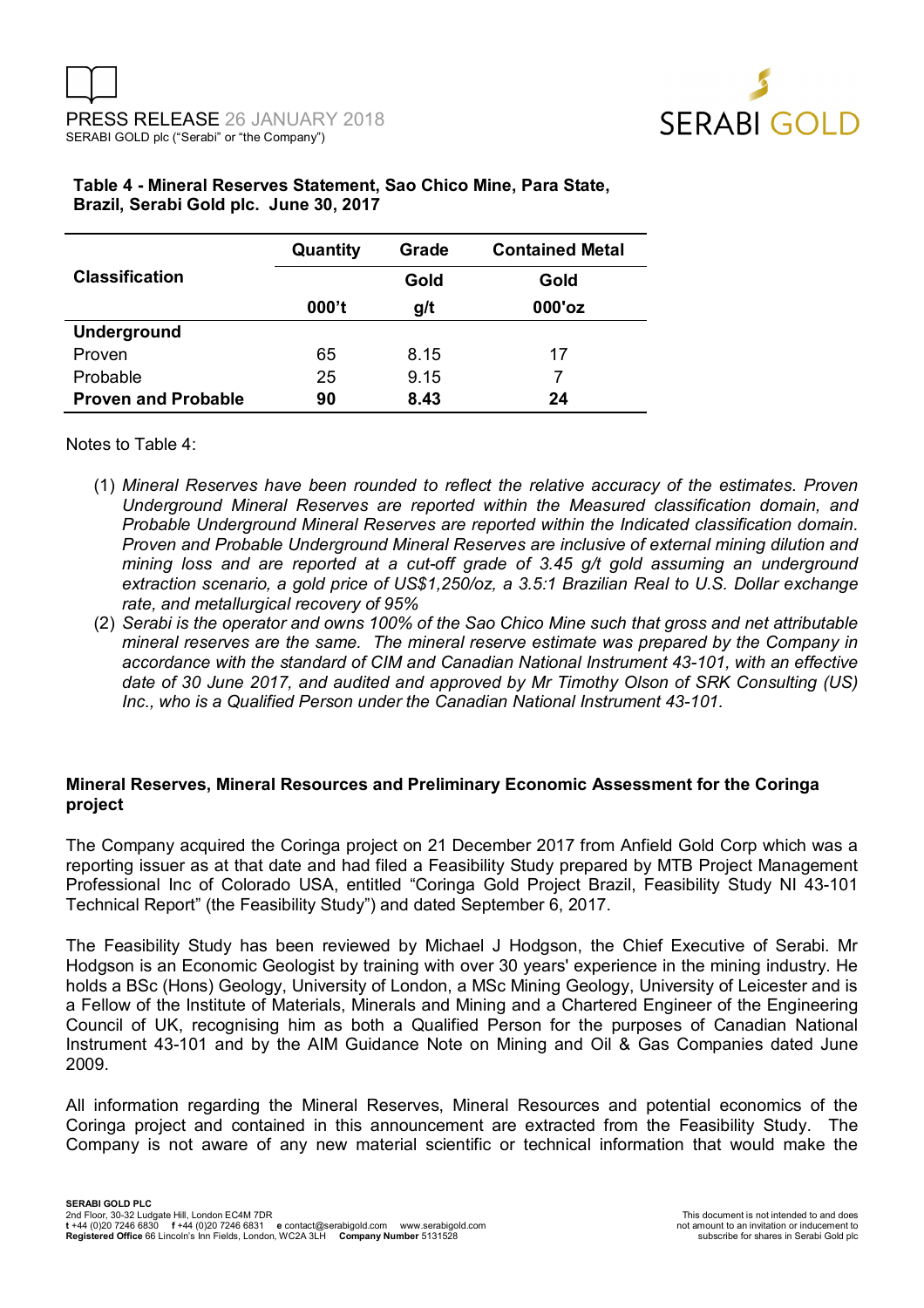

|                            | Grade<br>Quantity |      | <b>Contained Metal</b> |  |
|----------------------------|-------------------|------|------------------------|--|
| <b>Classification</b>      |                   | Gold | Gold                   |  |
|                            | 000't             | g/t  | $000'$ oz              |  |
| Underground                |                   |      |                        |  |
| Proven                     | 65                | 8.15 | 17                     |  |
| Probable                   | 25                | 9.15 |                        |  |
| <b>Proven and Probable</b> | 90                | 8.43 | 24                     |  |

## **Table 4 - Mineral Reserves Statement, Sao Chico Mine, Para State, Brazil, Serabi Gold plc. June 30, 2017**

## Notes to Table 4:

- (1) *Mineral Reserves have been rounded to reflect the relative accuracy of the estimates. Proven Underground Mineral Reserves are reported within the Measured classification domain, and Probable Underground Mineral Reserves are reported within the Indicated classification domain. Proven and Probable Underground Mineral Reserves are inclusive of external mining dilution and mining loss and are reported at a cut-off grade of 3.45 g/t gold assuming an underground extraction scenario, a gold price of US\$1,250/oz, a 3.5:1 Brazilian Real to U.S. Dollar exchange rate, and metallurgical recovery of 95%*
- (2) *Serabi is the operator and owns 100% of the Sao Chico Mine such that gross and net attributable mineral reserves are the same. The mineral reserve estimate was prepared by the Company in accordance with the standard of CIM and Canadian National Instrument 43-101, with an effective date of 30 June 2017, and audited and approved by Mr Timothy Olson of SRK Consulting (US) Inc., who is a Qualified Person under the Canadian National Instrument 43-101.*

## **Mineral Reserves, Mineral Resources and Preliminary Economic Assessment for the Coringa project**

The Company acquired the Coringa project on 21 December 2017 from Anfield Gold Corp which was a reporting issuer as at that date and had filed a Feasibility Study prepared by MTB Project Management Professional Inc of Colorado USA, entitled "Coringa Gold Project Brazil, Feasibility Study NI 43-101 Technical Report" (the Feasibility Study") and dated September 6, 2017.

The Feasibility Study has been reviewed by Michael J Hodgson, the Chief Executive of Serabi. Mr Hodgson is an Economic Geologist by training with over 30 years' experience in the mining industry. He holds a BSc (Hons) Geology, University of London, a MSc Mining Geology, University of Leicester and is a Fellow of the Institute of Materials, Minerals and Mining and a Chartered Engineer of the Engineering Council of UK, recognising him as both a Qualified Person for the purposes of Canadian National Instrument 43-101 and by the AIM Guidance Note on Mining and Oil & Gas Companies dated June 2009.

All information regarding the Mineral Reserves, Mineral Resources and potential economics of the Coringa project and contained in this announcement are extracted from the Feasibility Study. The Company is not aware of any new material scientific or technical information that would make the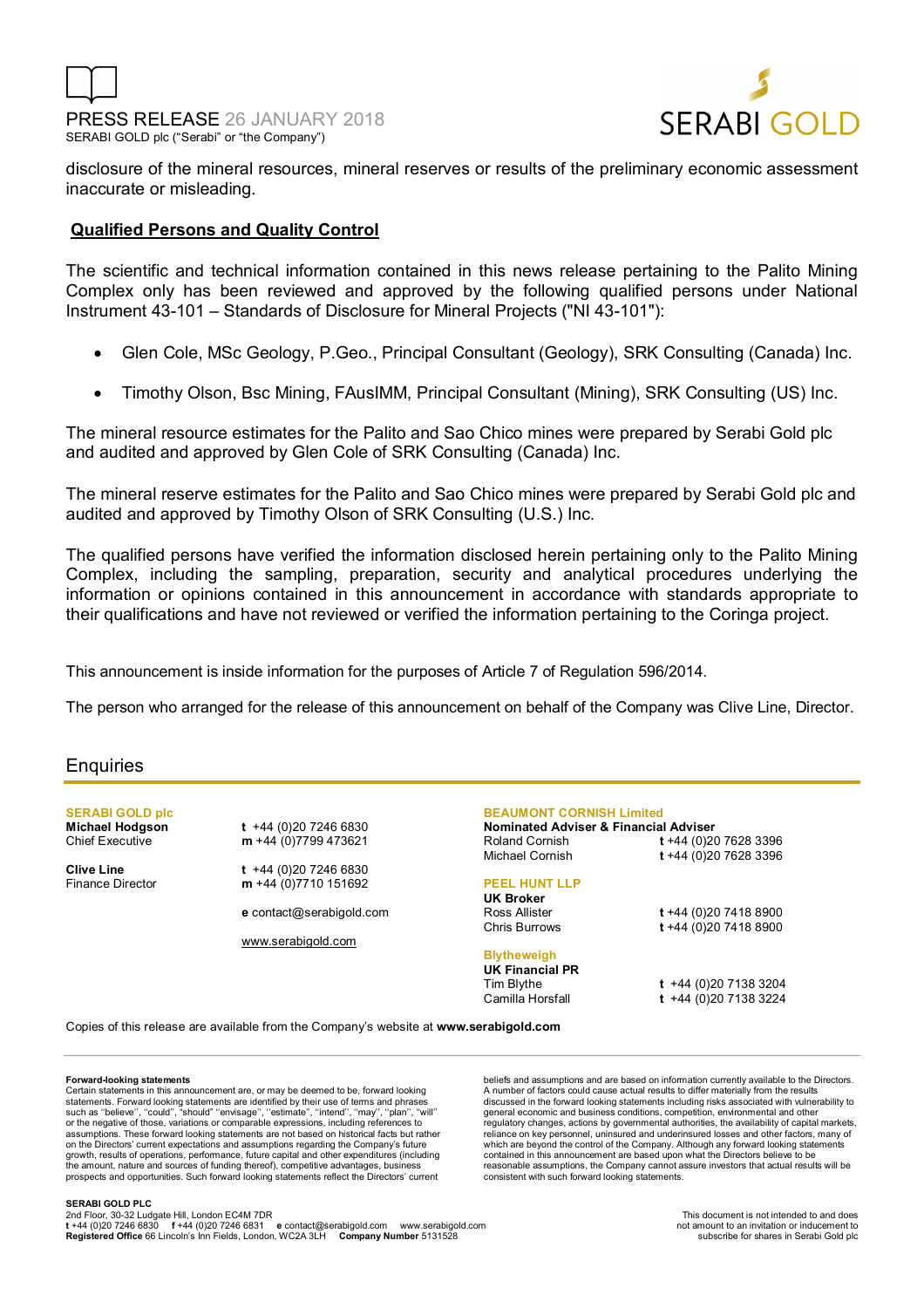



disclosure of the mineral resources, mineral reserves or results of the preliminary economic assessment inaccurate or misleading.

#### **Qualified Persons and Quality Control**

The scientific and technical information contained in this news release pertaining to the Palito Mining Complex only has been reviewed and approved by the following qualified persons under National Instrument 43-101 – Standards of Disclosure for Mineral Projects ("NI 43-101"):

- Glen Cole, MSc Geology, P.Geo., Principal Consultant (Geology), SRK Consulting (Canada) Inc.
- Timothy Olson, Bsc Mining, FAusIMM, Principal Consultant (Mining), SRK Consulting (US) Inc.

The mineral resource estimates for the Palito and Sao Chico mines were prepared by Serabi Gold plc and audited and approved by Glen Cole of SRK Consulting (Canada) Inc.

The mineral reserve estimates for the Palito and Sao Chico mines were prepared by Serabi Gold plc and audited and approved by Timothy Olson of SRK Consulting (U.S.) Inc.

The qualified persons have verified the information disclosed herein pertaining only to the Palito Mining Complex, including the sampling, preparation, security and analytical procedures underlying the information or opinions contained in this announcement in accordance with standards appropriate to their qualifications and have not reviewed or verified the information pertaining to the Coringa project.

This announcement is inside information for the purposes of Article 7 of Regulation 596/2014.

The person who arranged for the release of this announcement on behalf of the Company was Clive Line, Director.

#### **Enquiries**

**SERABI GOLD plc** 

**Michael Hodgson t** +44 (0)20 7246 6830<br>Chief Executive **m** +44 (0)7799 473621 m +44 (0)7799 473621

**Clive Line t** +44 (0)20 7246 6830 Finance Director **m** +44 (0)7710 151692

**e** contact@serabigold.com

www.serabigold.com

#### **BEAUMONT CORNISH Limited**

**Nominated Adviser & Financial Adviser**  Roland Cornish **t** +44 (0)20 7628 3396 Michael Cornish **t** +44 (0)20 7628 3396

#### **PEEL HUNT LLP**

**UK Broker**

Chris Burrows **t** +44 (0)20 7418 8900

#### **Blytheweigh UK Financial PR**

Ross Allister **t** +44 (0)20 7418 8900

Tim Blythe **t** +44 (0)20 7138 3204 Camilla Horsfall **t** +44 (0)20 7138 3224

Copies of this release are available from the Company's website at **www.serabigold.com** 

#### **Forward-looking statements**

Certain statements in this announcement are, or may be deemed to be, forward looking statements. Forward looking statements are identified by their use of terms and phrases such as ''believe'', ''could'', "should" ''envisage'', ''estimate'', ''intend'', ''may'', ''plan'', ''will'' or the negative of those, variations or comparable expressions, including references to assumptions. These forward looking statements are not based on historical facts but rather on the Directors' current expectations and assumptions regarding the Company's future<br>growth, results of operations, performance, future capital and other expenditures (including<br>the amount, nature and sources of funding t prospects and opportunities. Such forward looking statements reflect the Directors' current

beliefs and assumptions and are based on information currently available to the Directors. A number of factors could cause actual results to differ materially from the results discussed in the forward looking statements including risks associated with vulnerability to general economic and business conditions, competition, environmental and other regulatory changes, actions by governmental authorities, the availability of capital markets, reliance on key personnel, uninsured and underinsured losses and other factors, many of which are beyond the control of the Company. Although any forward looking statements contained in this announcement are based upon what the Directors believe to be reasonable assumptions, the Company cannot assure investors that actual results will be consistent with such forward looking statements.

#### **SERABI GOLD PLC**

2nd Floor, 30-32 Ludgate Hill, London EC4M 7DR<br>t +44 (0)20 7246 6830 f +44 (0)20 7246 6831 e contact@serabigold.com www.serabigold.com not amount to an invitation or inducement to **Registered Office** 66 Lincoln's Inn Fields, London, WC2A 3LH **Company Number** 5131528 subscribe for shares in Serabi Gold plc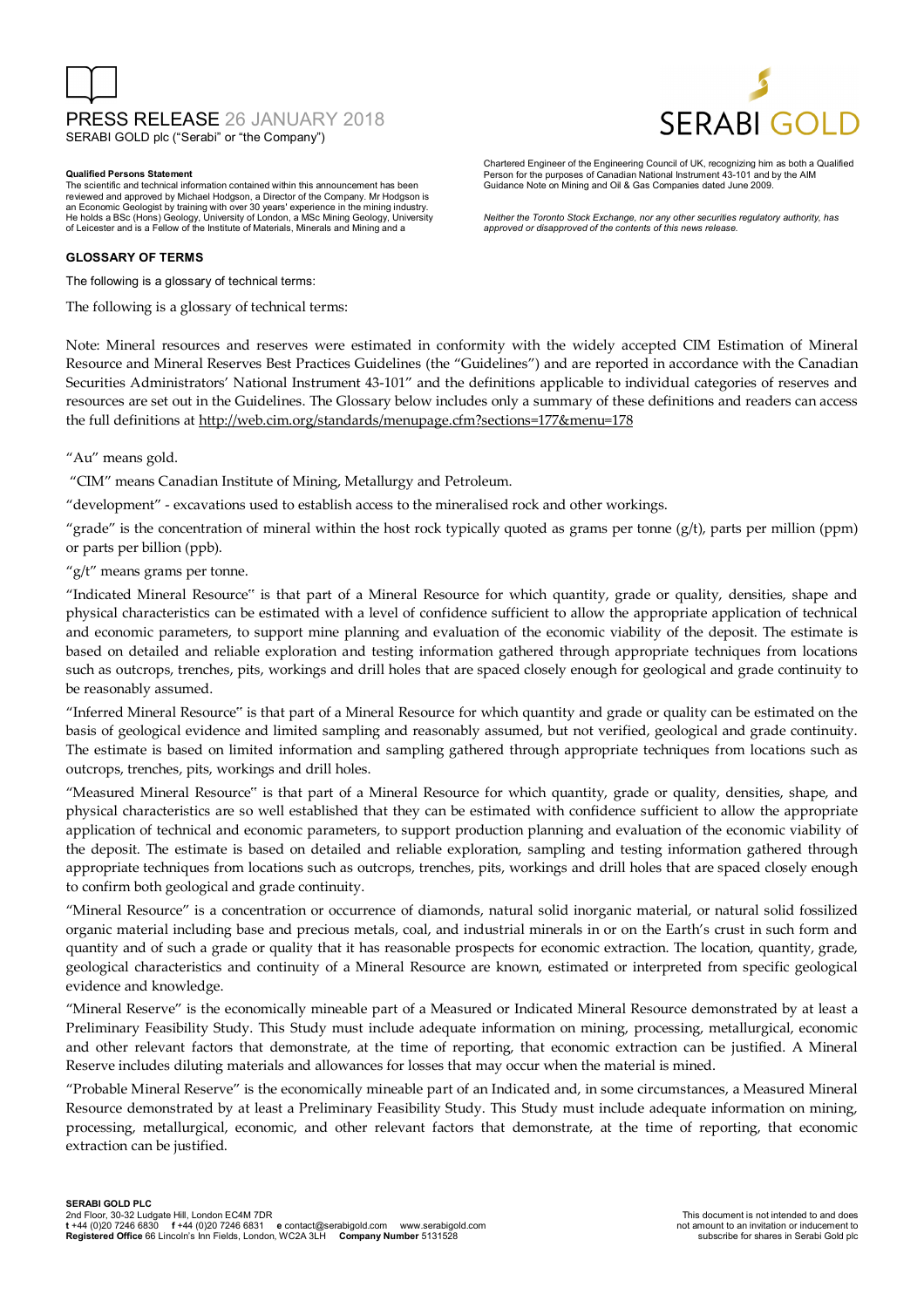# PRESS RELEASE 26 JANUARY 2018 SERABI GOLD plc ("Serabi" or "the Company")



Chartered Engineer of the Engineering Council of UK, recognizing him as both a Qualified Person for the purposes of Canadian National Instrument 43-101 and by the AIM

*Neither the Toronto Stock Exchange, nor any other securities regulatory authority, has* 

Guidance Note on Mining and Oil & Gas Companies dated June 2009.

*approved or disapproved of the contents of this news release.*

#### **Qualified Persons Statement**

The scientific and technical information contained within this announcement has been reviewed and approved by Michael Hodgson, a Director of the Company. Mr Hodgson is an Economic Geologist by training with over 30 years' experience in the mining industry. He holds a BSc (Hons) Geology, University of London, a MSc Mining Geology, University of Leicester and is a Fellow of the Institute of Materials, Minerals and Mining and a

# **GLOSSARY OF TERMS**

The following is a glossary of technical terms:

The following is a glossary of technical terms:

Note: Mineral resources and reserves were estimated in conformity with the widely accepted CIM Estimation of Mineral Resource and Mineral Reserves Best Practices Guidelines (the "Guidelines") and are reported in accordance with the Canadian Securities Administrators' National Instrument 43-101" and the definitions applicable to individual categories of reserves and resources are set out in the Guidelines. The Glossary below includes only a summary of these definitions and readers can access the full definitions at http://web.cim.org/standards/menupage.cfm?sections=177&menu=178

"Au" means gold.

"CIM" means Canadian Institute of Mining, Metallurgy and Petroleum.

"development" - excavations used to establish access to the mineralised rock and other workings.

"grade" is the concentration of mineral within the host rock typically quoted as grams per tonne (g/t), parts per million (ppm) or parts per billion (ppb).

"g/t" means grams per tonne.

"Indicated Mineral Resource" is that part of a Mineral Resource for which quantity, grade or quality, densities, shape and physical characteristics can be estimated with a level of confidence sufficient to allow the appropriate application of technical and economic parameters, to support mine planning and evaluation of the economic viability of the deposit. The estimate is based on detailed and reliable exploration and testing information gathered through appropriate techniques from locations such as outcrops, trenches, pits, workings and drill holes that are spaced closely enough for geological and grade continuity to be reasonably assumed.

"Inferred Mineral Resource" is that part of a Mineral Resource for which quantity and grade or quality can be estimated on the basis of geological evidence and limited sampling and reasonably assumed, but not verified, geological and grade continuity. The estimate is based on limited information and sampling gathered through appropriate techniques from locations such as outcrops, trenches, pits, workings and drill holes.

"Measured Mineral Resource" is that part of a Mineral Resource for which quantity, grade or quality, densities, shape, and physical characteristics are so well established that they can be estimated with confidence sufficient to allow the appropriate application of technical and economic parameters, to support production planning and evaluation of the economic viability of the deposit. The estimate is based on detailed and reliable exploration, sampling and testing information gathered through appropriate techniques from locations such as outcrops, trenches, pits, workings and drill holes that are spaced closely enough to confirm both geological and grade continuity.

"Mineral Resource" is a concentration or occurrence of diamonds, natural solid inorganic material, or natural solid fossilized organic material including base and precious metals, coal, and industrial minerals in or on the Earth's crust in such form and quantity and of such a grade or quality that it has reasonable prospects for economic extraction. The location, quantity, grade, geological characteristics and continuity of a Mineral Resource are known, estimated or interpreted from specific geological evidence and knowledge.

"Mineral Reserve" is the economically mineable part of a Measured or Indicated Mineral Resource demonstrated by at least a Preliminary Feasibility Study. This Study must include adequate information on mining, processing, metallurgical, economic and other relevant factors that demonstrate, at the time of reporting, that economic extraction can be justified. A Mineral Reserve includes diluting materials and allowances for losses that may occur when the material is mined.

"Probable Mineral Reserve" is the economically mineable part of an Indicated and, in some circumstances, a Measured Mineral Resource demonstrated by at least a Preliminary Feasibility Study. This Study must include adequate information on mining, processing, metallurgical, economic, and other relevant factors that demonstrate, at the time of reporting, that economic extraction can be justified.